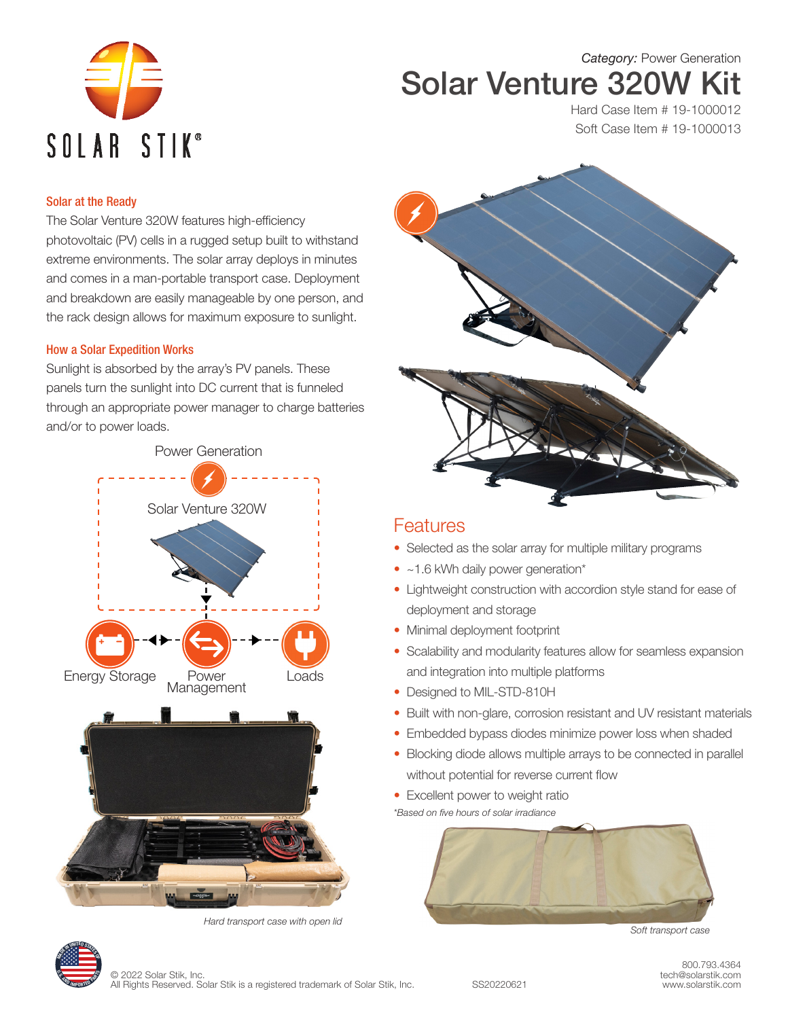

# *Category:* Power Generation Solar Venture 320W Kit

Hard Case Item # 19-1000012 Soft Case Item # 19-1000013

### Solar at the Ready

The Solar Venture 320W features high-efficiency photovoltaic (PV) cells in a rugged setup built to withstand extreme environments. The solar array deploys in minutes and comes in a man-portable transport case. Deployment and breakdown are easily manageable by one person, and the rack design allows for maximum exposure to sunlight.

### How a Solar Expedition Works

Sunlight is absorbed by the array's PV panels. These panels turn the sunlight into DC current that is funneled through an appropriate power manager to charge batteries and/or to power loads.







## **Features**

- Selected as the solar array for multiple military programs
- ~1.6 kWh daily power generation\*
- Lightweight construction with accordion style stand for ease of deployment and storage
- Minimal deployment footprint
- Scalability and modularity features allow for seamless expansion and integration into multiple platforms
- Designed to MIL-STD-810H
- Built with non-glare, corrosion resistant and UV resistant materials
- Embedded bypass diodes minimize power loss when shaded
- Blocking diode allows multiple arrays to be connected in parallel without potential for reverse current flow
- Excellent power to weight ratio

*\*Based on five hours of solar irradiance*